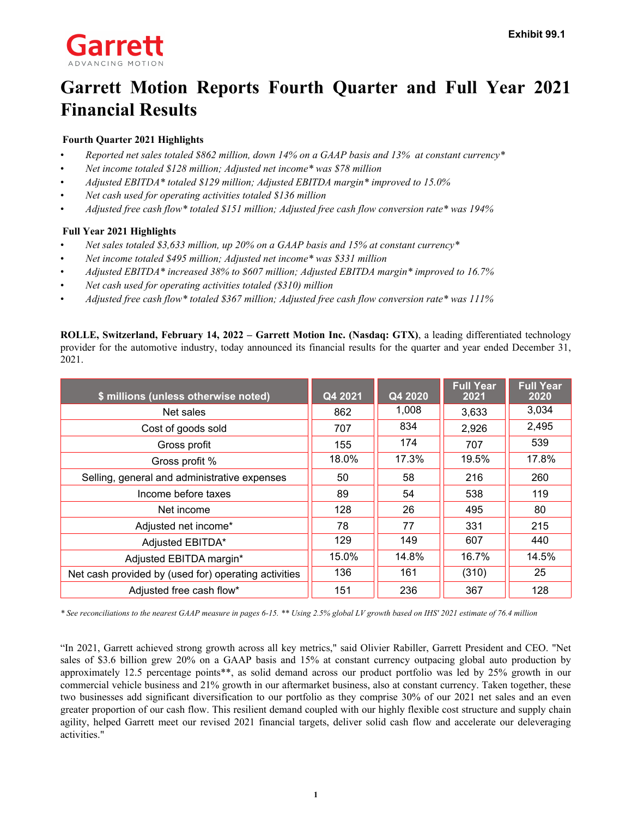

# **Garrett Motion Reports Fourth Quarter and Full Year 2021 Financial Results**

### **Fourth Quarter 2021 Highlights**

- *Reported net sales totaled \$862 million, down 14% on a GAAP basis and 13% at constant currency\**
- *Net income totaled \$128 million; Adjusted net income\* was \$78 million*
- *Adjusted EBITDA\* totaled \$129 million; Adjusted EBITDA margin\* improved to 15.0%*
- *Net cash used for operating activities totaled \$136 million*
- *Adjusted free cash flow\* totaled \$151 million; Adjusted free cash flow conversion rate\* was 194%*

### **Full Year 2021 Highlights**

- *Net sales totaled \$3,633 million, up 20% on a GAAP basis and 15% at constant currency\**
- *Net income totaled \$495 million; Adjusted net income\* was \$331 million*
- *Adjusted EBITDA\* increased 38% to \$607 million; Adjusted EBITDA margin\* improved to 16.7%*
- *Net cash used for operating activities totaled (\$310) million*
- *Adjusted free cash flow\* totaled \$367 million; Adjusted free cash flow conversion rate\* was 111%*

**ROLLE, Switzerland, February 14, 2022 – Garrett Motion Inc. (Nasdaq: GTX)**, a leading differentiated technology provider for the automotive industry, today announced its financial results for the quarter and year ended December 31, 2021.

| \$ millions (unless otherwise noted)                 | Q4 2021 | Q4 2020 | <b>Full Year</b><br>2021 | <b>Full Year</b><br>2020 |
|------------------------------------------------------|---------|---------|--------------------------|--------------------------|
| Net sales                                            | 862     | 1,008   | 3,633                    | 3,034                    |
| Cost of goods sold                                   | 707     | 834     | 2,926                    | 2,495                    |
| Gross profit                                         | 155     | 174     | 707                      | 539                      |
| Gross profit %                                       | 18.0%   | 17.3%   | 19.5%                    | 17.8%                    |
| Selling, general and administrative expenses         | 50      | 58      | 216                      | 260                      |
| Income before taxes                                  | 89      | 54      | 538                      | 119                      |
| Net income                                           | 128     | 26      | 495                      | 80                       |
| Adjusted net income*                                 | 78      | 77      | 331                      | 215                      |
| Adjusted EBITDA*                                     | 129     | 149     | 607                      | 440                      |
| Adjusted EBITDA margin*                              | 15.0%   | 14.8%   | 16.7%                    | 14.5%                    |
| Net cash provided by (used for) operating activities | 136     | 161     | (310)                    | 25                       |
| Adjusted free cash flow*                             | 151     | 236     | 367                      | 128                      |

*\* See reconciliations to the nearest GAAP measure in pages 6-15. \*\* Using 2.5% global LV growth based on IHS' 2021 estimate of 76.4 million* 

"In 2021, Garrett achieved strong growth across all key metrics," said Olivier Rabiller, Garrett President and CEO. "Net sales of \$3.6 billion grew 20% on a GAAP basis and 15% at constant currency outpacing global auto production by approximately 12.5 percentage points\*\*, as solid demand across our product portfolio was led by 25% growth in our commercial vehicle business and 21% growth in our aftermarket business, also at constant currency. Taken together, these two businesses add significant diversification to our portfolio as they comprise 30% of our 2021 net sales and an even greater proportion of our cash flow. This resilient demand coupled with our highly flexible cost structure and supply chain agility, helped Garrett meet our revised 2021 financial targets, deliver solid cash flow and accelerate our deleveraging activities."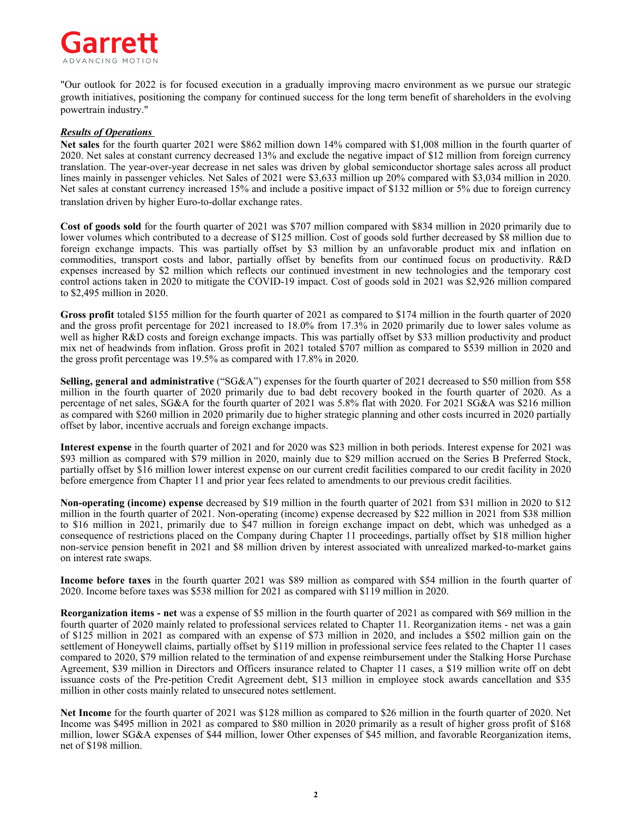

"Our outlook for 2022 is for focused execution in a gradually improving macro environment as we pursue our strategic growth initiatives, positioning the company for continued success for the long term benefit of shareholders in the evolving powertrain industry."

#### *Results of Operations*

**Net sales** for the fourth quarter 2021 were \$862 million down 14% compared with \$1,008 million in the fourth quarter of 2020. Net sales at constant currency decreased 13% and exclude the negative impact of \$12 million from foreign currency translation. The year-over-year decrease in net sales was driven by global semiconductor shortage sales across all product lines mainly in passenger vehicles. Net Sales of 2021 were \$3,633 million up 20% compared with \$3,034 million in 2020. Net sales at constant currency increased 15% and include a positive impact of \$132 million or 5% due to foreign currency translation driven by higher Euro-to-dollar exchange rates.

**Cost of goods sold** for the fourth quarter of 2021 was \$707 million compared with \$834 million in 2020 primarily due to lower volumes which contributed to a decrease of \$125 million. Cost of goods sold further decreased by \$8 million due to foreign exchange impacts. This was partially offset by \$3 million by an unfavorable product mix and inflation on commodities, transport costs and labor, partially offset by benefits from our continued focus on productivity. R&D expenses increased by \$2 million which reflects our continued investment in new technologies and the temporary cost control actions taken in 2020 to mitigate the COVID-19 impact. Cost of goods sold in 2021 was \$2,926 million compared to \$2,495 million in 2020.

**Gross profit** totaled \$155 million for the fourth quarter of 2021 as compared to \$174 million in the fourth quarter of 2020 and the gross profit percentage for 2021 increased to 18.0% from 17.3% in 2020 primarily due to lower sales volume as well as higher R&D costs and foreign exchange impacts. This was partially offset by \$33 million productivity and product mix net of headwinds from inflation. Gross profit in 2021 totaled \$707 million as compared to \$539 million in 2020 and the gross profit percentage was 19.5% as compared with 17.8% in 2020.

**Selling, general and administrative** ("SG&A") expenses for the fourth quarter of 2021 decreased to \$50 million from \$58 million in the fourth quarter of 2020 primarily due to bad debt recovery booked in the fourth quarter of 2020. As a percentage of net sales, SG&A for the fourth quarter of 2021 was 5.8% flat with 2020. For 2021 SG&A was \$216 million as compared with \$260 million in 2020 primarily due to higher strategic planning and other costs incurred in 2020 partially offset by labor, incentive accruals and foreign exchange impacts.

**Interest expense** in the fourth quarter of 2021 and for 2020 was \$23 million in both periods. Interest expense for 2021 was \$93 million as compared with \$79 million in 2020, mainly due to \$29 million accrued on the Series B Preferred Stock, partially offset by \$16 million lower interest expense on our current credit facilities compared to our credit facility in 2020 before emergence from Chapter 11 and prior year fees related to amendments to our previous credit facilities.

**Non-operating (income) expense** decreased by \$19 million in the fourth quarter of 2021 from \$31 million in 2020 to \$12 million in the fourth quarter of 2021. Non-operating (income) expense decreased by \$22 million in 2021 from \$38 million to \$16 million in 2021, primarily due to \$47 million in foreign exchange impact on debt, which was unhedged as a consequence of restrictions placed on the Company during Chapter 11 proceedings, partially offset by \$18 million higher non-service pension benefit in 2021 and \$8 million driven by interest associated with unrealized marked-to-market gains on interest rate swaps.

**Income before taxes** in the fourth quarter 2021 was \$89 million as compared with \$54 million in the fourth quarter of 2020. Income before taxes was \$538 million for 2021 as compared with \$119 million in 2020.

**Reorganization items - net** was a expense of \$5 million in the fourth quarter of 2021 as compared with \$69 million in the fourth quarter of 2020 mainly related to professional services related to Chapter 11. Reorganization items - net was a gain of \$125 million in 2021 as compared with an expense of \$73 million in 2020, and includes a \$502 million gain on the settlement of Honeywell claims, partially offset by \$119 million in professional service fees related to the Chapter 11 cases compared to 2020, \$79 million related to the termination of and expense reimbursement under the Stalking Horse Purchase Agreement, \$39 million in Directors and Officers insurance related to Chapter 11 cases, a \$19 million write off on debt issuance costs of the Pre-petition Credit Agreement debt, \$13 million in employee stock awards cancellation and \$35 million in other costs mainly related to unsecured notes settlement.

**Net Income** for the fourth quarter of 2021 was \$128 million as compared to \$26 million in the fourth quarter of 2020. Net Income was \$495 million in 2021 as compared to \$80 million in 2020 primarily as a result of higher gross profit of \$168 million, lower SG&A expenses of \$44 million, lower Other expenses of \$45 million, and favorable Reorganization items, net of \$198 million.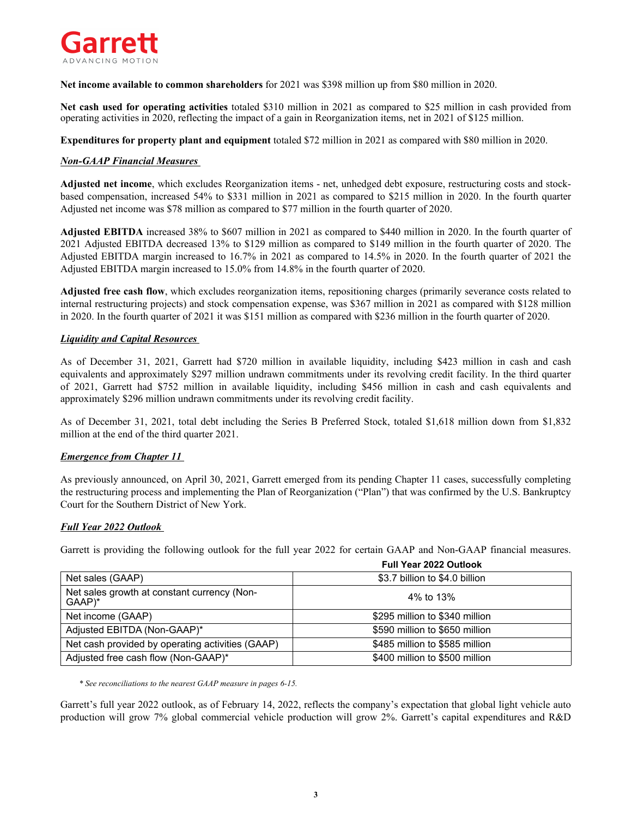

**Net income available to common shareholders** for 2021 was \$398 million up from \$80 million in 2020.

**Net cash used for operating activities** totaled \$310 million in 2021 as compared to \$25 million in cash provided from operating activities in 2020, reflecting the impact of a gain in Reorganization items, net in 2021 of \$125 million.

**Expenditures for property plant and equipment** totaled \$72 million in 2021 as compared with \$80 million in 2020.

### *Non-GAAP Financial Measures*

**Adjusted net income**, which excludes Reorganization items - net, unhedged debt exposure, restructuring costs and stockbased compensation, increased 54% to \$331 million in 2021 as compared to \$215 million in 2020. In the fourth quarter Adjusted net income was \$78 million as compared to \$77 million in the fourth quarter of 2020.

**Adjusted EBITDA** increased 38% to \$607 million in 2021 as compared to \$440 million in 2020. In the fourth quarter of 2021 Adjusted EBITDA decreased 13% to \$129 million as compared to \$149 million in the fourth quarter of 2020. The Adjusted EBITDA margin increased to 16.7% in 2021 as compared to 14.5% in 2020. In the fourth quarter of 2021 the Adjusted EBITDA margin increased to 15.0% from 14.8% in the fourth quarter of 2020.

**Adjusted free cash flow**, which excludes reorganization items, repositioning charges (primarily severance costs related to internal restructuring projects) and stock compensation expense, was \$367 million in 2021 as compared with \$128 million in 2020. In the fourth quarter of 2021 it was \$151 million as compared with \$236 million in the fourth quarter of 2020.

### *Liquidity and Capital Resources*

As of December 31, 2021, Garrett had \$720 million in available liquidity, including \$423 million in cash and cash equivalents and approximately \$297 million undrawn commitments under its revolving credit facility. In the third quarter of 2021, Garrett had \$752 million in available liquidity, including \$456 million in cash and cash equivalents and approximately \$296 million undrawn commitments under its revolving credit facility.

As of December 31, 2021, total debt including the Series B Preferred Stock, totaled \$1,618 million down from \$1,832 million at the end of the third quarter 2021.

### *Emergence from Chapter 11*

As previously announced, on April 30, 2021, Garrett emerged from its pending Chapter 11 cases, successfully completing the restructuring process and implementing the Plan of Reorganization ("Plan") that was confirmed by the U.S. Bankruptcy Court for the Southern District of New York.

### *Full Year 2022 Outlook*

Garrett is providing the following outlook for the full year 2022 for certain GAAP and Non-GAAP financial measures.

|                                                       | <b>Full Year 2022 Outlook</b>  |
|-------------------------------------------------------|--------------------------------|
| Net sales (GAAP)                                      | \$3.7 billion to \$4.0 billion |
| Net sales growth at constant currency (Non-<br>GAAP)* | 4% to 13%                      |
| Net income (GAAP)                                     | \$295 million to \$340 million |
| Adjusted EBITDA (Non-GAAP)*                           | \$590 million to \$650 million |
| Net cash provided by operating activities (GAAP)      | \$485 million to \$585 million |
| Adjusted free cash flow (Non-GAAP)*                   | \$400 million to \$500 million |

*\* See reconciliations to the nearest GAAP measure in pages 6-15.* 

Garrett's full year 2022 outlook, as of February 14, 2022, reflects the company's expectation that global light vehicle auto production will grow 7% global commercial vehicle production will grow 2%. Garrett's capital expenditures and R&D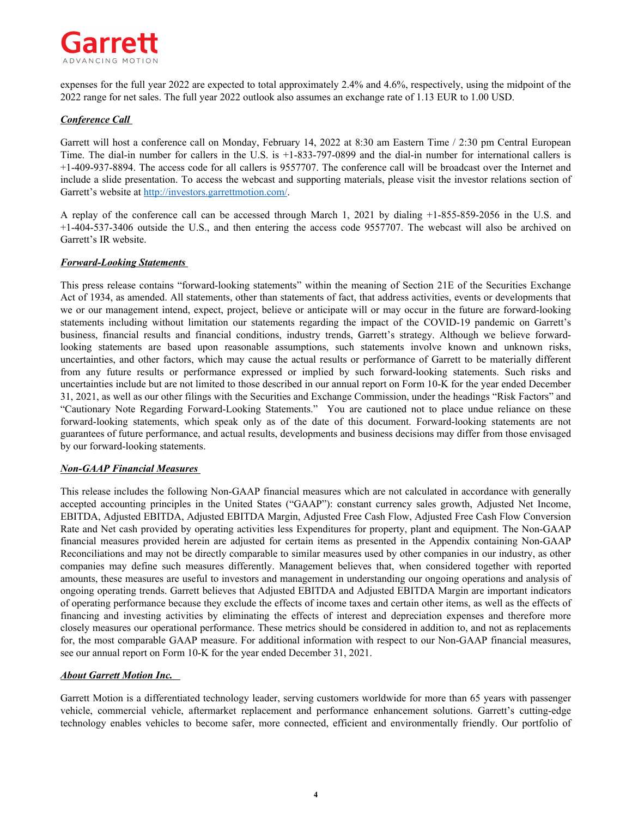

expenses for the full year 2022 are expected to total approximately 2.4% and 4.6%, respectively, using the midpoint of the 2022 range for net sales. The full year 2022 outlook also assumes an exchange rate of 1.13 EUR to 1.00 USD.

### *Conference Call*

Garrett will host a conference call on Monday, February 14, 2022 at 8:30 am Eastern Time / 2:30 pm Central European Time. The dial-in number for callers in the U.S. is +1-833-797-0899 and the dial-in number for international callers is +1-409-937-8894. The access code for all callers is 9557707. The conference call will be broadcast over the Internet and include a slide presentation. To access the webcast and supporting materials, please visit the investor relations section of Garrett's website at http://investors.garrettmotion.com/.

A replay of the conference call can be accessed through March 1, 2021 by dialing +1-855-859-2056 in the U.S. and +1-404-537-3406 outside the U.S., and then entering the access code 9557707. The webcast will also be archived on Garrett's IR website.

### *Forward-Looking Statements*

This press release contains "forward-looking statements" within the meaning of Section 21E of the Securities Exchange Act of 1934, as amended. All statements, other than statements of fact, that address activities, events or developments that we or our management intend, expect, project, believe or anticipate will or may occur in the future are forward-looking statements including without limitation our statements regarding the impact of the COVID-19 pandemic on Garrett's business, financial results and financial conditions, industry trends, Garrett's strategy. Although we believe forwardlooking statements are based upon reasonable assumptions, such statements involve known and unknown risks, uncertainties, and other factors, which may cause the actual results or performance of Garrett to be materially different from any future results or performance expressed or implied by such forward-looking statements. Such risks and uncertainties include but are not limited to those described in our annual report on Form 10-K for the year ended December 31, 2021, as well as our other filings with the Securities and Exchange Commission, under the headings "Risk Factors" and "Cautionary Note Regarding Forward-Looking Statements." You are cautioned not to place undue reliance on these forward-looking statements, which speak only as of the date of this document. Forward-looking statements are not guarantees of future performance, and actual results, developments and business decisions may differ from those envisaged by our forward-looking statements.

### *Non-GAAP Financial Measures*

This release includes the following Non-GAAP financial measures which are not calculated in accordance with generally accepted accounting principles in the United States ("GAAP"): constant currency sales growth, Adjusted Net Income, EBITDA, Adjusted EBITDA, Adjusted EBITDA Margin, Adjusted Free Cash Flow, Adjusted Free Cash Flow Conversion Rate and Net cash provided by operating activities less Expenditures for property, plant and equipment. The Non-GAAP financial measures provided herein are adjusted for certain items as presented in the Appendix containing Non-GAAP Reconciliations and may not be directly comparable to similar measures used by other companies in our industry, as other companies may define such measures differently. Management believes that, when considered together with reported amounts, these measures are useful to investors and management in understanding our ongoing operations and analysis of ongoing operating trends. Garrett believes that Adjusted EBITDA and Adjusted EBITDA Margin are important indicators of operating performance because they exclude the effects of income taxes and certain other items, as well as the effects of financing and investing activities by eliminating the effects of interest and depreciation expenses and therefore more closely measures our operational performance. These metrics should be considered in addition to, and not as replacements for, the most comparable GAAP measure. For additional information with respect to our Non-GAAP financial measures, see our annual report on Form 10-K for the year ended December 31, 2021.

### *About Garrett Motion Inc.*

Garrett Motion is a differentiated technology leader, serving customers worldwide for more than 65 years with passenger vehicle, commercial vehicle, aftermarket replacement and performance enhancement solutions. Garrett's cutting-edge technology enables vehicles to become safer, more connected, efficient and environmentally friendly. Our portfolio of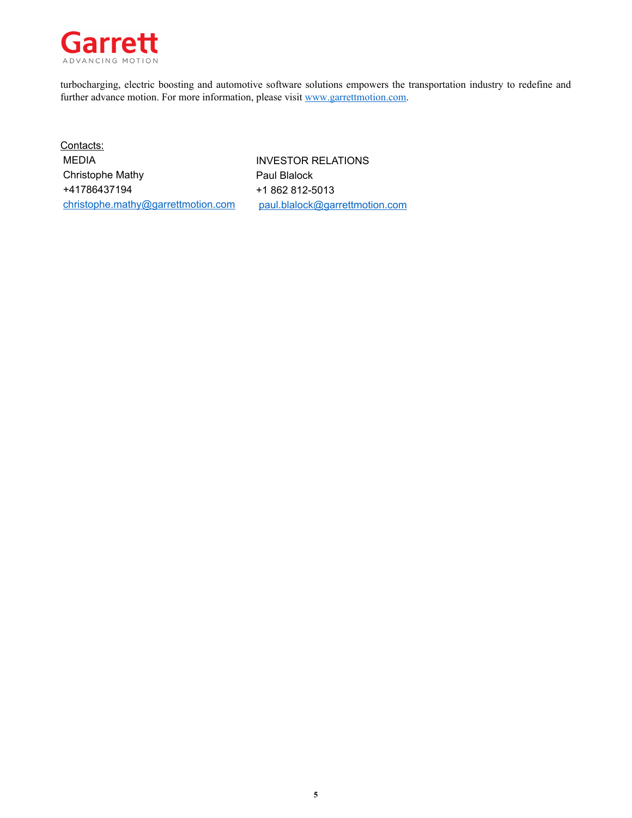

turbocharging, electric boosting and automotive software solutions empowers the transportation industry to redefine and further advance motion. For more information, please visit www.garrettmotion.com.

Contacts: MEDIA **INVESTOR RELATIONS** Christophe Mathy **Paul Blalock** +41786437194 +1 862 812-5013 christophe.mathy@garrettmotion.com paul.blalock@garrettmotion.com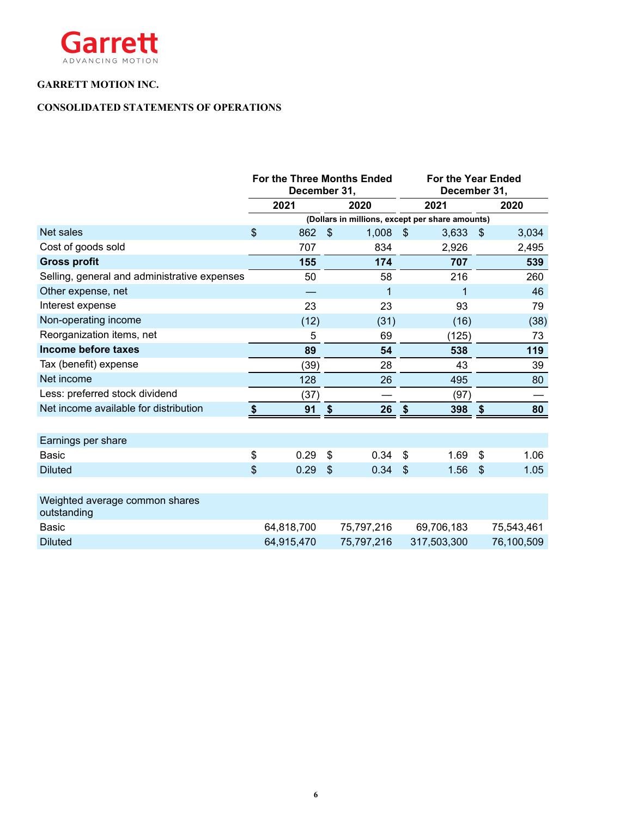

### **CONSOLIDATED STATEMENTS OF OPERATIONS**

|                                               |                | For the Three Months Ended<br>December 31, |                |            |                           | <b>For the Year Ended</b><br>December 31,       |             |  |      |
|-----------------------------------------------|----------------|--------------------------------------------|----------------|------------|---------------------------|-------------------------------------------------|-------------|--|------|
|                                               | 2021           |                                            | 2020           |            |                           |                                                 | 2021        |  | 2020 |
|                                               |                |                                            |                |            |                           | (Dollars in millions, except per share amounts) |             |  |      |
| Net sales                                     | $\mathfrak{S}$ | 862                                        | \$             | 1,008      | $\boldsymbol{\mathsf{S}}$ | 3,633                                           | \$<br>3,034 |  |      |
| Cost of goods sold                            |                | 707                                        |                | 834        |                           | 2,926                                           | 2,495       |  |      |
| <b>Gross profit</b>                           |                | 155                                        |                | 174        |                           | 707                                             | 539         |  |      |
| Selling, general and administrative expenses  |                | 50                                         |                | 58         |                           | 216                                             | 260         |  |      |
| Other expense, net                            |                |                                            |                | 1          |                           | 1                                               | 46          |  |      |
| Interest expense                              |                | 23                                         |                | 23         |                           | 93                                              | 79          |  |      |
| Non-operating income                          |                | (12)                                       |                | (31)       |                           | (16)                                            | (38)        |  |      |
| Reorganization items, net                     |                | 5                                          |                | 69         |                           | (125)                                           | 73          |  |      |
| Income before taxes                           |                | 89                                         |                | 54         |                           | 538                                             | 119         |  |      |
| Tax (benefit) expense                         |                | (39)                                       |                | 28         |                           | 43                                              | 39          |  |      |
| Net income                                    |                | 128                                        |                | 26         |                           | 495                                             | 80          |  |      |
| Less: preferred stock dividend                |                | (37)                                       |                |            |                           | (97)                                            |             |  |      |
| Net income available for distribution         | \$             | 91                                         | \$             | 26         | $\boldsymbol{\hat{\ast}}$ | 398                                             | \$<br>80    |  |      |
|                                               |                |                                            |                |            |                           |                                                 |             |  |      |
| Earnings per share                            |                |                                            |                |            |                           |                                                 |             |  |      |
| <b>Basic</b>                                  | \$             | 0.29                                       | \$             | 0.34       | $\boldsymbol{\mathsf{S}}$ | 1.69                                            | \$<br>1.06  |  |      |
| <b>Diluted</b>                                | $\mathfrak{S}$ | 0.29                                       | $\mathfrak{S}$ | 0.34       | \$                        | 1.56                                            | \$<br>1.05  |  |      |
|                                               |                |                                            |                |            |                           |                                                 |             |  |      |
| Weighted average common shares<br>outstanding |                |                                            |                |            |                           |                                                 |             |  |      |
| <b>Basic</b>                                  |                | 64,818,700                                 |                | 75,797,216 |                           | 69,706,183                                      | 75,543,461  |  |      |
| <b>Diluted</b>                                |                | 64,915,470                                 |                | 75,797,216 |                           | 317,503,300                                     | 76,100,509  |  |      |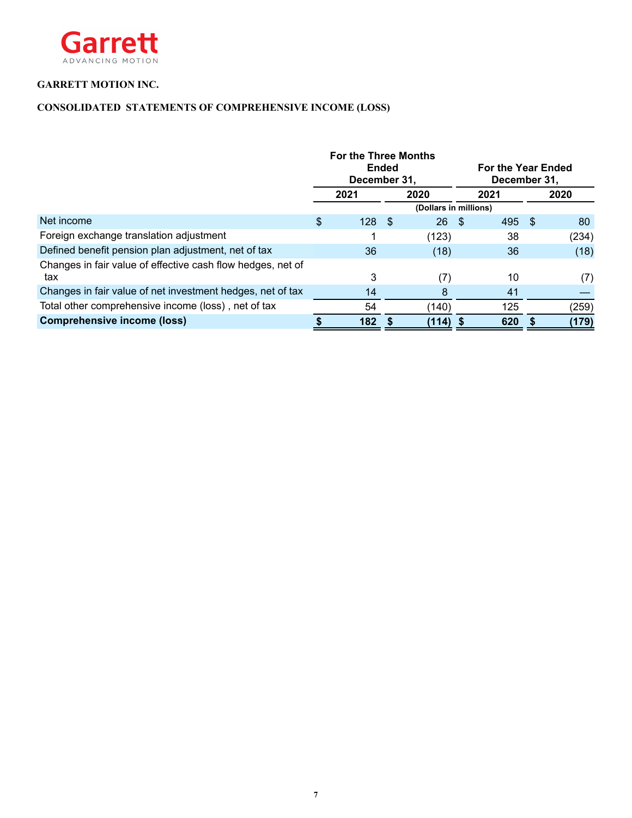

### **CONSOLIDATED STATEMENTS OF COMPREHENSIVE INCOME (LOSS)**

|                                                             | <b>For the Three Months</b><br>December 31, | <b>Ended</b> |                       |      | <b>For the Year Ended</b><br>December 31. |     |       |
|-------------------------------------------------------------|---------------------------------------------|--------------|-----------------------|------|-------------------------------------------|-----|-------|
|                                                             | 2021                                        |              | 2020                  |      | 2021                                      |     | 2020  |
|                                                             |                                             |              | (Dollars in millions) |      |                                           |     |       |
| Net income                                                  | \$<br>128                                   | -S           | 26                    | - \$ | 495                                       | - S | 80    |
| Foreign exchange translation adjustment                     |                                             |              | (123)                 |      | 38                                        |     | (234) |
| Defined benefit pension plan adjustment, net of tax         | 36                                          |              | (18)                  |      | 36                                        |     | (18)  |
| Changes in fair value of effective cash flow hedges, net of |                                             |              |                       |      |                                           |     |       |
| tax                                                         | 3                                           |              | (7)                   |      | 10                                        |     | (7)   |
| Changes in fair value of net investment hedges, net of tax  | 14                                          |              | 8                     |      | 41                                        |     |       |
| Total other comprehensive income (loss), net of tax         | 54                                          |              | (140)                 |      | 125                                       |     | (259) |
| <b>Comprehensive income (loss)</b>                          | 182                                         |              | $(114)$ \$            |      | 620                                       |     | (179) |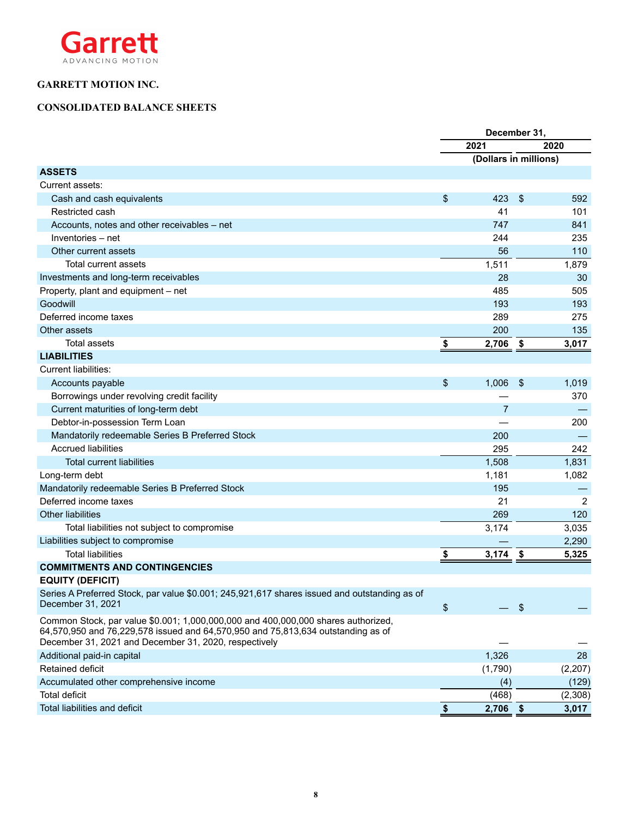

### **CONSOLIDATED BALANCE SHEETS**

|                                                                                                                                                                                                                                | December 31, |                       |            |                |
|--------------------------------------------------------------------------------------------------------------------------------------------------------------------------------------------------------------------------------|--------------|-----------------------|------------|----------------|
|                                                                                                                                                                                                                                |              | 2021                  |            | 2020           |
|                                                                                                                                                                                                                                |              | (Dollars in millions) |            |                |
| <b>ASSETS</b>                                                                                                                                                                                                                  |              |                       |            |                |
| Current assets:                                                                                                                                                                                                                |              |                       |            |                |
| Cash and cash equivalents                                                                                                                                                                                                      | \$           | 423                   | \$         | 592            |
| Restricted cash                                                                                                                                                                                                                |              | 41                    |            | 101            |
| Accounts, notes and other receivables - net                                                                                                                                                                                    |              | 747                   |            | 841            |
| Inventories - net                                                                                                                                                                                                              |              | 244                   |            | 235            |
| Other current assets                                                                                                                                                                                                           |              | 56                    |            | 110            |
| <b>Total current assets</b>                                                                                                                                                                                                    |              | 1,511                 |            | 1,879          |
| Investments and long-term receivables                                                                                                                                                                                          |              | 28                    |            | 30             |
| Property, plant and equipment - net                                                                                                                                                                                            |              | 485                   |            | 505            |
| Goodwill                                                                                                                                                                                                                       |              | 193                   |            | 193            |
| Deferred income taxes                                                                                                                                                                                                          |              | 289                   |            | 275            |
| Other assets                                                                                                                                                                                                                   |              | 200                   |            | 135            |
| <b>Total assets</b>                                                                                                                                                                                                            | \$           | $2,706$ \$            |            | 3,017          |
| <b>LIABILITIES</b>                                                                                                                                                                                                             |              |                       |            |                |
| <b>Current liabilities:</b>                                                                                                                                                                                                    |              |                       |            |                |
| Accounts payable                                                                                                                                                                                                               | \$           | 1,006                 | \$         | 1,019          |
| Borrowings under revolving credit facility                                                                                                                                                                                     |              |                       |            | 370            |
| Current maturities of long-term debt                                                                                                                                                                                           |              | $\overline{7}$        |            |                |
| Debtor-in-possession Term Loan                                                                                                                                                                                                 |              |                       |            | 200            |
| Mandatorily redeemable Series B Preferred Stock                                                                                                                                                                                |              | 200                   |            |                |
| <b>Accrued liabilities</b>                                                                                                                                                                                                     |              | 295                   |            | 242            |
| <b>Total current liabilities</b>                                                                                                                                                                                               |              | 1,508                 |            | 1,831          |
| Long-term debt                                                                                                                                                                                                                 |              | 1,181                 |            | 1,082          |
| Mandatorily redeemable Series B Preferred Stock                                                                                                                                                                                |              | 195                   |            |                |
| Deferred income taxes                                                                                                                                                                                                          |              | 21                    |            | $\overline{2}$ |
| <b>Other liabilities</b>                                                                                                                                                                                                       |              | 269                   |            | 120            |
| Total liabilities not subject to compromise                                                                                                                                                                                    |              | 3,174                 |            | 3,035          |
| Liabilities subject to compromise                                                                                                                                                                                              |              |                       |            | 2,290          |
| <b>Total liabilities</b>                                                                                                                                                                                                       | \$           | $3,174$ \$            |            | 5,325          |
| <b>COMMITMENTS AND CONTINGENCIES</b>                                                                                                                                                                                           |              |                       |            |                |
| <b>EQUITY (DEFICIT)</b>                                                                                                                                                                                                        |              |                       |            |                |
| Series A Preferred Stock, par value \$0.001; 245,921,617 shares issued and outstanding as of                                                                                                                                   |              |                       |            |                |
| December 31, 2021                                                                                                                                                                                                              | \$           |                       | $\sqrt{3}$ |                |
| Common Stock, par value \$0.001; 1,000,000,000 and 400,000,000 shares authorized,<br>64,570,950 and 76,229,578 issued and 64,570,950 and 75,813,634 outstanding as of<br>December 31, 2021 and December 31, 2020, respectively |              |                       |            |                |
| Additional paid-in capital                                                                                                                                                                                                     |              | 1,326                 |            | 28             |
| Retained deficit                                                                                                                                                                                                               |              | (1,790)               |            | (2, 207)       |
| Accumulated other comprehensive income                                                                                                                                                                                         |              | (4)                   |            | (129)          |
| <b>Total deficit</b>                                                                                                                                                                                                           |              | (468)                 |            | (2,308)        |
| Total liabilities and deficit                                                                                                                                                                                                  | \$           | $2,706$ \$            |            | 3,017          |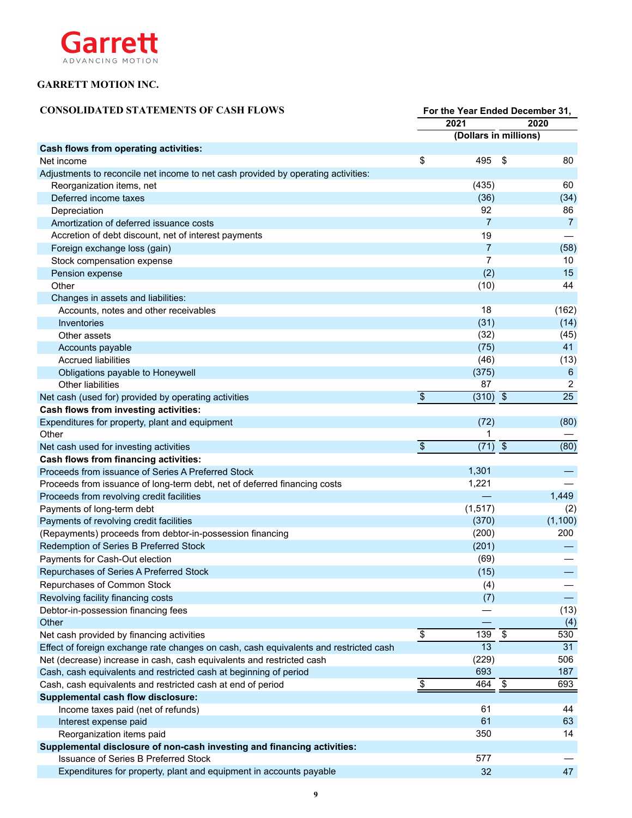

| <b>CONSOLIDATED STATEMENTS OF CASH FLOWS</b>                                          | For the Year Ended December 31, |                       |               |                 |  |
|---------------------------------------------------------------------------------------|---------------------------------|-----------------------|---------------|-----------------|--|
|                                                                                       |                                 | 2021                  | 2020          |                 |  |
|                                                                                       |                                 | (Dollars in millions) |               |                 |  |
| <b>Cash flows from operating activities:</b>                                          |                                 |                       |               |                 |  |
| Net income                                                                            | \$                              | 495                   | \$            | 80              |  |
| Adjustments to reconcile net income to net cash provided by operating activities:     |                                 |                       |               |                 |  |
| Reorganization items, net                                                             |                                 | (435)                 |               | 60              |  |
| Deferred income taxes                                                                 |                                 | (36)                  |               | (34)            |  |
| Depreciation                                                                          |                                 | 92                    |               | 86              |  |
| Amortization of deferred issuance costs                                               |                                 | 7                     |               | 7               |  |
| Accretion of debt discount, net of interest payments                                  |                                 | 19                    |               |                 |  |
| Foreign exchange loss (gain)                                                          |                                 | 7                     |               | (58)            |  |
| Stock compensation expense                                                            |                                 | 7                     |               | 10              |  |
| Pension expense                                                                       |                                 | (2)                   |               | 15              |  |
| Other                                                                                 |                                 | (10)                  |               | 44              |  |
| Changes in assets and liabilities:                                                    |                                 |                       |               |                 |  |
| Accounts, notes and other receivables                                                 |                                 | 18                    |               | (162)           |  |
| Inventories                                                                           |                                 | (31)                  |               | (14)            |  |
| Other assets                                                                          |                                 | (32)                  |               | (45)            |  |
| Accounts payable                                                                      |                                 | (75)                  |               | 41              |  |
| <b>Accrued liabilities</b>                                                            |                                 | (46)                  |               | (13)            |  |
| Obligations payable to Honeywell                                                      |                                 | (375)                 |               | $6\phantom{1}6$ |  |
| <b>Other liabilities</b>                                                              |                                 | 87                    |               | $\overline{2}$  |  |
| Net cash (used for) provided by operating activities                                  | $\frac{1}{2}$                   | $(310)$ \$            |               | $\overline{25}$ |  |
| <b>Cash flows from investing activities:</b>                                          |                                 |                       |               |                 |  |
| Expenditures for property, plant and equipment                                        |                                 | (72)                  |               | (80)            |  |
| Other                                                                                 |                                 | 1                     |               |                 |  |
| Net cash used for investing activities                                                | $\overline{\$}$                 | $(71)$ \$             |               | (80)            |  |
| <b>Cash flows from financing activities:</b>                                          |                                 |                       |               |                 |  |
| Proceeds from issuance of Series A Preferred Stock                                    |                                 | 1,301                 |               |                 |  |
| Proceeds from issuance of long-term debt, net of deferred financing costs             |                                 | 1,221                 |               |                 |  |
| Proceeds from revolving credit facilities                                             |                                 |                       |               | 1,449           |  |
| Payments of long-term debt                                                            |                                 | (1, 517)              |               | (2)             |  |
| Payments of revolving credit facilities                                               |                                 | (370)                 |               | (1,100)         |  |
| (Repayments) proceeds from debtor-in-possession financing                             |                                 | (200)                 |               | 200             |  |
| Redemption of Series B Preferred Stock                                                |                                 | (201)                 |               |                 |  |
| Payments for Cash-Out election                                                        |                                 | (69)                  |               |                 |  |
| Repurchases of Series A Preferred Stock                                               |                                 | (15)                  |               |                 |  |
| Repurchases of Common Stock                                                           |                                 | (4)                   |               |                 |  |
| Revolving facility financing costs                                                    |                                 | (7)                   |               |                 |  |
| Debtor-in-possession financing fees                                                   |                                 |                       |               | (13)            |  |
| Other                                                                                 |                                 |                       |               | (4)             |  |
| Net cash provided by financing activities                                             | $\sqrt[6]{\frac{1}{2}}$         | 139                   | $\sqrt[6]{3}$ | 530             |  |
| Effect of foreign exchange rate changes on cash, cash equivalents and restricted cash |                                 | 13                    |               | 31              |  |
| Net (decrease) increase in cash, cash equivalents and restricted cash                 |                                 | (229)                 |               | 506             |  |
| Cash, cash equivalents and restricted cash at beginning of period                     |                                 | 693                   |               | 187             |  |
| Cash, cash equivalents and restricted cash at end of period                           | \$                              | 464                   | \$            | 693             |  |
| <b>Supplemental cash flow disclosure:</b>                                             |                                 |                       |               |                 |  |
| Income taxes paid (net of refunds)                                                    |                                 | 61                    |               | 44              |  |
| Interest expense paid                                                                 |                                 | 61                    |               | 63              |  |
| Reorganization items paid                                                             |                                 | 350                   |               | 14              |  |
| Supplemental disclosure of non-cash investing and financing activities:               |                                 |                       |               |                 |  |
| <b>Issuance of Series B Preferred Stock</b>                                           |                                 | 577                   |               |                 |  |
| Expenditures for property, plant and equipment in accounts payable                    |                                 | 32                    |               | 47              |  |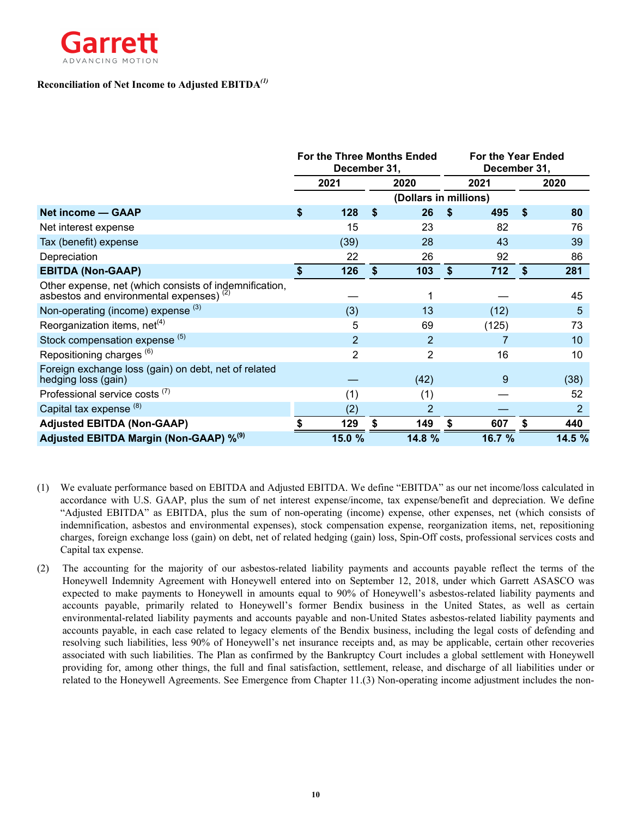

### **Reconciliation of Net Income to Adjusted EBITDA***(1)*

|                                                                                                               | <b>For the Three Months Ended</b><br>December 31, |                |    |                       |     | <b>For the Year Ended</b><br>December 31, |            |        |
|---------------------------------------------------------------------------------------------------------------|---------------------------------------------------|----------------|----|-----------------------|-----|-------------------------------------------|------------|--------|
|                                                                                                               |                                                   | 2021           |    | 2020                  |     | 2021                                      |            | 2020   |
|                                                                                                               |                                                   |                |    | (Dollars in millions) |     |                                           |            |        |
| Net income - GAAP                                                                                             | \$                                                | 128            | \$ | 26                    | \$  | 495                                       | $\sqrt{2}$ | 80     |
| Net interest expense                                                                                          |                                                   | 15             |    | 23                    |     | 82                                        |            | 76     |
| Tax (benefit) expense                                                                                         |                                                   | (39)           |    | 28                    |     | 43                                        |            | 39     |
| Depreciation                                                                                                  |                                                   | 22             |    | 26                    |     | 92                                        |            | 86     |
| <b>EBITDA (Non-GAAP)</b>                                                                                      | \$                                                | 126            | \$ | 103                   | \$. | 712                                       | \$         | 281    |
| Other expense, net (which consists of indemnification,<br>asbestos and environmental expenses) <sup>(2)</sup> |                                                   |                |    |                       |     |                                           |            | 45     |
| Non-operating (income) expense (3)                                                                            |                                                   | (3)            |    | 13                    |     | (12)                                      |            | 5      |
| Reorganization items, net <sup>(4)</sup>                                                                      |                                                   | 5              |    | 69                    |     | (125)                                     |            | 73     |
| Stock compensation expense (5)                                                                                |                                                   | $\overline{2}$ |    | $\overline{2}$        |     |                                           |            | 10     |
| Repositioning charges <sup>(6)</sup>                                                                          |                                                   | $\overline{2}$ |    | 2                     |     | 16                                        |            | 10     |
| Foreign exchange loss (gain) on debt, net of related<br>hedging loss (gain)                                   |                                                   |                |    | (42)                  |     | 9                                         |            | (38)   |
| Professional service costs <sup>(7)</sup>                                                                     |                                                   | (1)            |    | (1)                   |     |                                           |            | 52     |
| Capital tax expense <sup>(8)</sup>                                                                            |                                                   | (2)            |    | 2                     |     |                                           |            | 2      |
| <b>Adjusted EBITDA (Non-GAAP)</b>                                                                             |                                                   | 129            |    | 149                   |     | 607                                       |            | 440    |
| Adjusted EBITDA Margin (Non-GAAP) % <sup>(9)</sup>                                                            |                                                   | 15.0 %         |    | 14.8 %                |     | 16.7 %                                    |            | 14.5 % |

- (1) We evaluate performance based on EBITDA and Adjusted EBITDA. We define "EBITDA" as our net income/loss calculated in accordance with U.S. GAAP, plus the sum of net interest expense/income, tax expense/benefit and depreciation. We define "Adjusted EBITDA" as EBITDA, plus the sum of non-operating (income) expense, other expenses, net (which consists of indemnification, asbestos and environmental expenses), stock compensation expense, reorganization items, net, repositioning charges, foreign exchange loss (gain) on debt, net of related hedging (gain) loss, Spin-Off costs, professional services costs and Capital tax expense.
- (2) The accounting for the majority of our asbestos-related liability payments and accounts payable reflect the terms of the Honeywell Indemnity Agreement with Honeywell entered into on September 12, 2018, under which Garrett ASASCO was expected to make payments to Honeywell in amounts equal to 90% of Honeywell's asbestos-related liability payments and accounts payable, primarily related to Honeywell's former Bendix business in the United States, as well as certain environmental-related liability payments and accounts payable and non-United States asbestos-related liability payments and accounts payable, in each case related to legacy elements of the Bendix business, including the legal costs of defending and resolving such liabilities, less 90% of Honeywell's net insurance receipts and, as may be applicable, certain other recoveries associated with such liabilities. The Plan as confirmed by the Bankruptcy Court includes a global settlement with Honeywell providing for, among other things, the full and final satisfaction, settlement, release, and discharge of all liabilities under or related to the Honeywell Agreements. See Emergence from Chapter 11.(3) Non-operating income adjustment includes the non-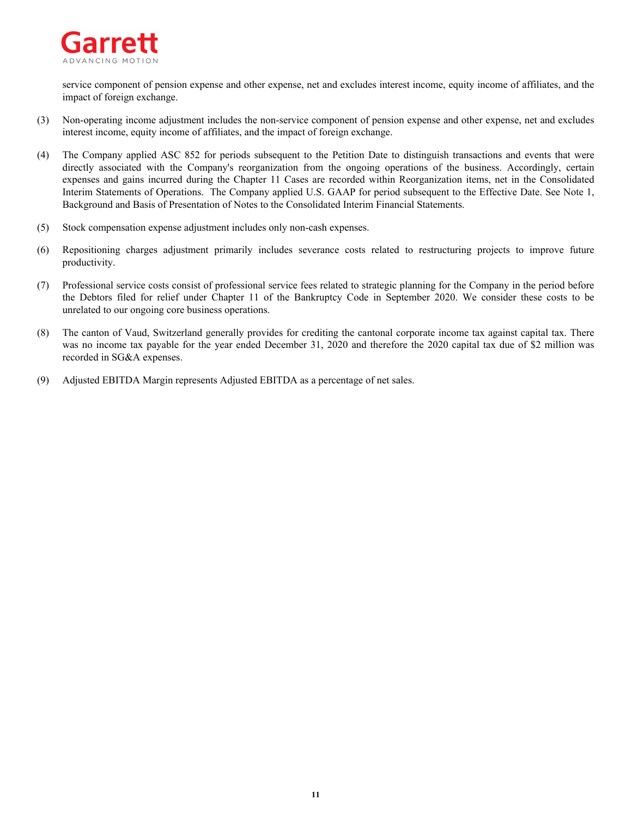

service component of pension expense and other expense, net and excludes interest income, equity income of affiliates, and the impact of foreign exchange.

- (3) Non-operating income adjustment includes the non-service component of pension expense and other expense, net and excludes interest income, equity income of affiliates, and the impact of foreign exchange.
- (4) The Company applied ASC 852 for periods subsequent to the Petition Date to distinguish transactions and events that were directly associated with the Company's reorganization from the ongoing operations of the business. Accordingly, certain expenses and gains incurred during the Chapter 11 Cases are recorded within Reorganization items, net in the Consolidated Interim Statements of Operations. The Company applied U.S. GAAP for period subsequent to the Effective Date. See Note 1, Background and Basis of Presentation of Notes to the Consolidated Interim Financial Statements.
- (5) Stock compensation expense adjustment includes only non-cash expenses.
- (6) Repositioning charges adjustment primarily includes severance costs related to restructuring projects to improve future productivity.
- (7) Professional service costs consist of professional service fees related to strategic planning for the Company in the period before the Debtors filed for relief under Chapter 11 of the Bankruptcy Code in September 2020. We consider these costs to be unrelated to our ongoing core business operations.
- (8) The canton of Vaud, Switzerland generally provides for crediting the cantonal corporate income tax against capital tax. There was no income tax payable for the year ended December 31, 2020 and therefore the 2020 capital tax due of \$2 million was recorded in SG&A expenses.
- (9) Adjusted EBITDA Margin represents Adjusted EBITDA as a percentage of net sales.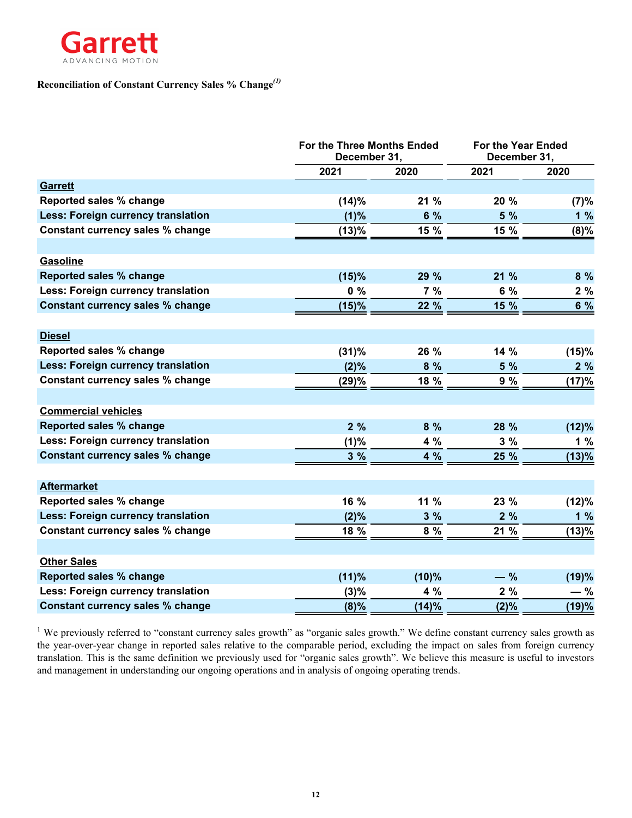

## **Reconciliation of Constant Currency Sales % Change***(1)*

|                                           | For the Three Months Ended<br>December 31, |       |       | <b>For the Year Ended</b><br>December 31, |
|-------------------------------------------|--------------------------------------------|-------|-------|-------------------------------------------|
|                                           | 2021                                       | 2020  | 2021  | 2020                                      |
| <b>Garrett</b>                            |                                            |       |       |                                           |
| Reported sales % change                   | (14)%                                      | 21 %  | 20 %  | (7)%                                      |
| <b>Less: Foreign currency translation</b> | (1)%                                       | 6 %   | 5 %   | 1%                                        |
| <b>Constant currency sales % change</b>   | (13)%                                      | 15 %  | 15 %  | (8)%                                      |
|                                           |                                            |       |       |                                           |
| Gasoline                                  |                                            |       |       |                                           |
| <b>Reported sales % change</b>            | (15)%                                      | 29 %  | 21 %  | 8 %                                       |
| Less: Foreign currency translation        | $0\%$                                      | 7%    | 6 %   | 2%                                        |
| <b>Constant currency sales % change</b>   | (15)%                                      | 22 %  | 15 %  | 6 %                                       |
|                                           |                                            |       |       |                                           |
| <b>Diesel</b>                             |                                            |       |       |                                           |
| Reported sales % change                   | (31)%                                      | 26 %  | 14 %  | (15)%                                     |
| <b>Less: Foreign currency translation</b> | (2)%                                       | 8 %   | 5 %   | 2%                                        |
| Constant currency sales % change          | (29)%                                      | 18 %  | 9 %   | (17)%                                     |
|                                           |                                            |       |       |                                           |
| <b>Commercial vehicles</b>                |                                            |       |       |                                           |
| <b>Reported sales % change</b>            | 2%                                         | 8%    | 28 %  | (12)%                                     |
| <b>Less: Foreign currency translation</b> | (1)%                                       | 4 %   | 3%    | 1%                                        |
| <b>Constant currency sales % change</b>   | 3%                                         | 4 %   | 25 %  | (13)%                                     |
|                                           |                                            |       |       |                                           |
| <b>Aftermarket</b>                        |                                            |       |       |                                           |
| Reported sales % change                   | 16 %                                       | 11 %  | 23 %  | (12)%                                     |
| <b>Less: Foreign currency translation</b> | (2)%                                       | 3%    | 2%    | 1%                                        |
| Constant currency sales % change          | 18 %                                       | 8 %   | 21 %  | (13)%                                     |
|                                           |                                            |       |       |                                           |
| <b>Other Sales</b>                        |                                            |       |       |                                           |
| <b>Reported sales % change</b>            | (11)%                                      | (10)% | $-$ % | (19)%                                     |
| Less: Foreign currency translation        | (3)%                                       | 4 %   | 2%    | — %                                       |
| <b>Constant currency sales % change</b>   | (8)%                                       | (14)% | (2)%  | (19)%                                     |

<sup>1</sup> We previously referred to "constant currency sales growth" as "organic sales growth." We define constant currency sales growth as the year-over-year change in reported sales relative to the comparable period, excluding the impact on sales from foreign currency translation. This is the same definition we previously used for "organic sales growth". We believe this measure is useful to investors and management in understanding our ongoing operations and in analysis of ongoing operating trends.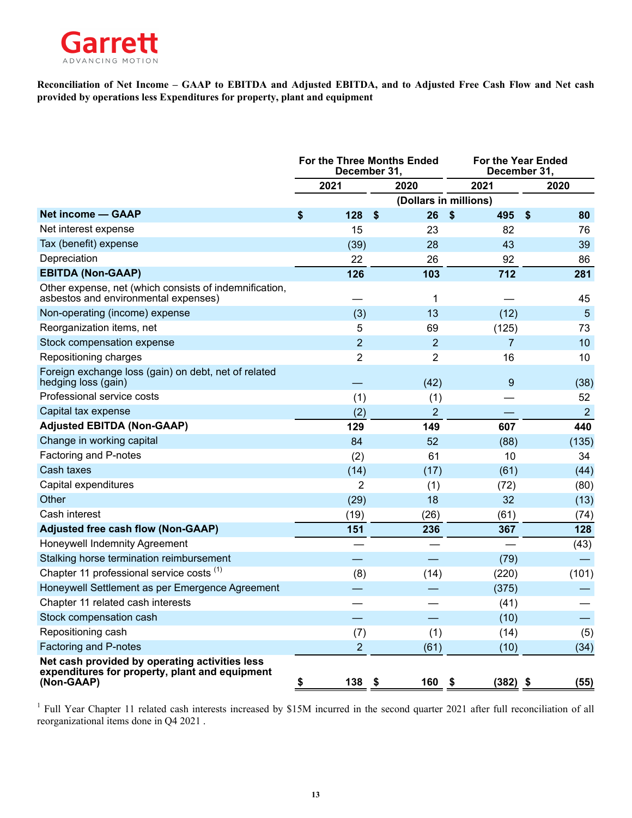

**Reconciliation of Net Income – GAAP to EBITDA and Adjusted EBITDA, and to Adjusted Free Cash Flow and Net cash provided by operations less Expenditures for property, plant and equipment**

|                                                                                                                |                | For the Three Months Ended<br>December 31, | December 31,          | <b>For the Year Ended</b>       |
|----------------------------------------------------------------------------------------------------------------|----------------|--------------------------------------------|-----------------------|---------------------------------|
|                                                                                                                | 2021           | 2020                                       | 2021                  | 2020                            |
|                                                                                                                |                |                                            | (Dollars in millions) |                                 |
| Net income - GAAP                                                                                              | \$<br>128      | \$<br>26                                   | \$<br>495             | $\boldsymbol{\mathsf{s}}$<br>80 |
| Net interest expense                                                                                           | 15             | 23                                         | 82                    | 76                              |
| Tax (benefit) expense                                                                                          | (39)           | 28                                         | 43                    | 39                              |
| Depreciation                                                                                                   | 22             | 26                                         | 92                    | 86                              |
| <b>EBITDA (Non-GAAP)</b>                                                                                       | 126            | 103                                        | 712                   | 281                             |
| Other expense, net (which consists of indemnification,<br>asbestos and environmental expenses)                 |                | 1                                          |                       | 45                              |
| Non-operating (income) expense                                                                                 | (3)            | 13                                         | (12)                  | $5\phantom{.0}$                 |
| Reorganization items, net                                                                                      | 5              | 69                                         | (125)                 | 73                              |
| Stock compensation expense                                                                                     | $\overline{2}$ | $\overline{2}$                             | $\overline{7}$        | 10                              |
| Repositioning charges                                                                                          | $\overline{2}$ | $\overline{2}$                             | 16                    | 10                              |
| Foreign exchange loss (gain) on debt, net of related<br>hedging loss (gain)                                    |                | (42)                                       | 9                     | (38)                            |
| Professional service costs                                                                                     | (1)            | (1)                                        |                       | 52                              |
| Capital tax expense                                                                                            | (2)            | $\overline{2}$                             |                       | $\overline{2}$                  |
| <b>Adjusted EBITDA (Non-GAAP)</b>                                                                              | 129            | 149                                        | 607                   | 440                             |
| Change in working capital                                                                                      | 84             | 52                                         | (88)                  | (135)                           |
| Factoring and P-notes                                                                                          | (2)            | 61                                         | 10                    | 34                              |
| Cash taxes                                                                                                     | (14)           | (17)                                       | (61)                  | (44)                            |
| Capital expenditures                                                                                           | $\overline{2}$ | (1)                                        | (72)                  | (80)                            |
| Other                                                                                                          | (29)           | 18                                         | 32                    | (13)                            |
| Cash interest                                                                                                  | (19)           | (26)                                       | (61)                  | (74)                            |
| <b>Adjusted free cash flow (Non-GAAP)</b>                                                                      | 151            | 236                                        | 367                   | 128                             |
| Honeywell Indemnity Agreement                                                                                  |                |                                            |                       | (43)                            |
| Stalking horse termination reimbursement                                                                       |                |                                            | (79)                  |                                 |
| Chapter 11 professional service costs (1)                                                                      | (8)            | (14)                                       | (220)                 | (101)                           |
| Honeywell Settlement as per Emergence Agreement                                                                |                |                                            | (375)                 |                                 |
| Chapter 11 related cash interests                                                                              |                |                                            | (41)                  |                                 |
| Stock compensation cash                                                                                        |                |                                            | (10)                  |                                 |
| Repositioning cash                                                                                             | (7)            | (1)                                        | (14)                  | (5)                             |
| Factoring and P-notes                                                                                          | $\overline{2}$ | (61)                                       | (10)                  | (34)                            |
| Net cash provided by operating activities less<br>expenditures for property, plant and equipment<br>(Non-GAAP) | 138<br>\$      | \$<br>160                                  | $(382)$ \$<br>- \$    | (55)                            |

<sup>1</sup> Full Year Chapter 11 related cash interests increased by \$15M incurred in the second quarter 2021 after full reconciliation of all reorganizational items done in Q4 2021 .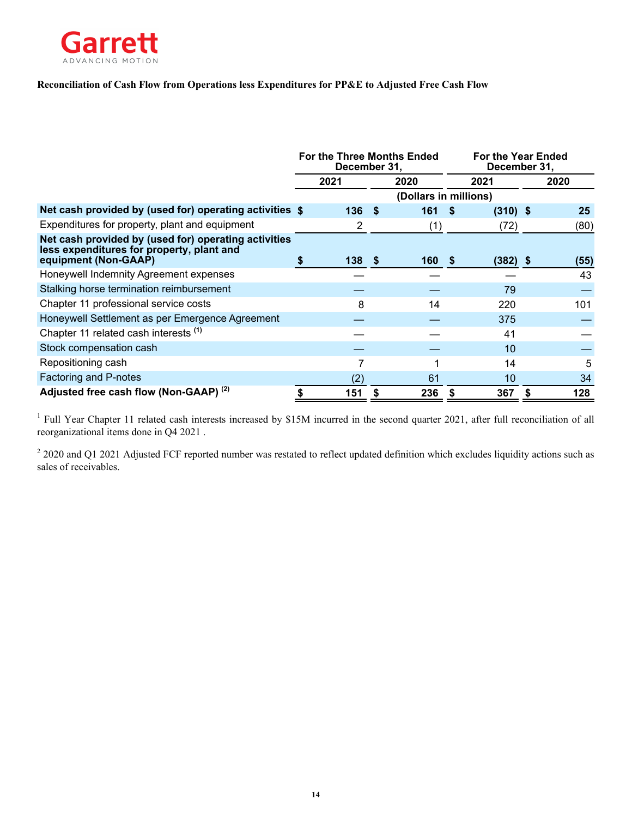

### **Reconciliation of Cash Flow from Operations less Expenditures for PP&E to Adjusted Free Cash Flow**

|                                                                                                   | For the Three Months Ended<br>December 31, |      |                       |      | <b>For the Year Ended</b><br>December 31, |      |
|---------------------------------------------------------------------------------------------------|--------------------------------------------|------|-----------------------|------|-------------------------------------------|------|
|                                                                                                   | 2021                                       |      | 2020                  |      | 2021                                      | 2020 |
|                                                                                                   |                                            |      | (Dollars in millions) |      |                                           |      |
| Net cash provided by (used for) operating activities \$                                           | 136                                        | - \$ | 161                   | - \$ | $(310)$ \$                                | 25   |
| Expenditures for property, plant and equipment                                                    | 2                                          |      | (1)                   |      | (72)                                      | (80) |
| Net cash provided by (used for) operating activities<br>less expenditures for property, plant and |                                            |      |                       |      |                                           |      |
| equipment (Non-GAAP)                                                                              | 138 <sup>5</sup>                           |      | 160                   | - \$ | $(382)$ \$                                | (55) |
| Honeywell Indemnity Agreement expenses                                                            |                                            |      |                       |      |                                           | 43   |
| Stalking horse termination reimbursement                                                          |                                            |      |                       |      | 79                                        |      |
| Chapter 11 professional service costs                                                             | 8                                          |      | 14                    |      | 220                                       | 101  |
| Honeywell Settlement as per Emergence Agreement                                                   |                                            |      |                       |      | 375                                       |      |
| Chapter 11 related cash interests (1)                                                             |                                            |      |                       |      | 41                                        |      |
| Stock compensation cash                                                                           |                                            |      |                       |      | 10                                        |      |
| Repositioning cash                                                                                |                                            |      |                       |      | 14                                        | 5    |
| Factoring and P-notes                                                                             | (2)                                        |      | 61                    |      | 10                                        | 34   |
| Adjusted free cash flow (Non-GAAP) (2)                                                            | 151                                        |      | 236                   | S    | 367                                       | 128  |

<sup>1</sup> Full Year Chapter 11 related cash interests increased by \$15M incurred in the second quarter 2021, after full reconciliation of all reorganizational items done in Q4 2021 .

 $22020$  and Q1 2021 Adjusted FCF reported number was restated to reflect updated definition which excludes liquidity actions such as sales of receivables.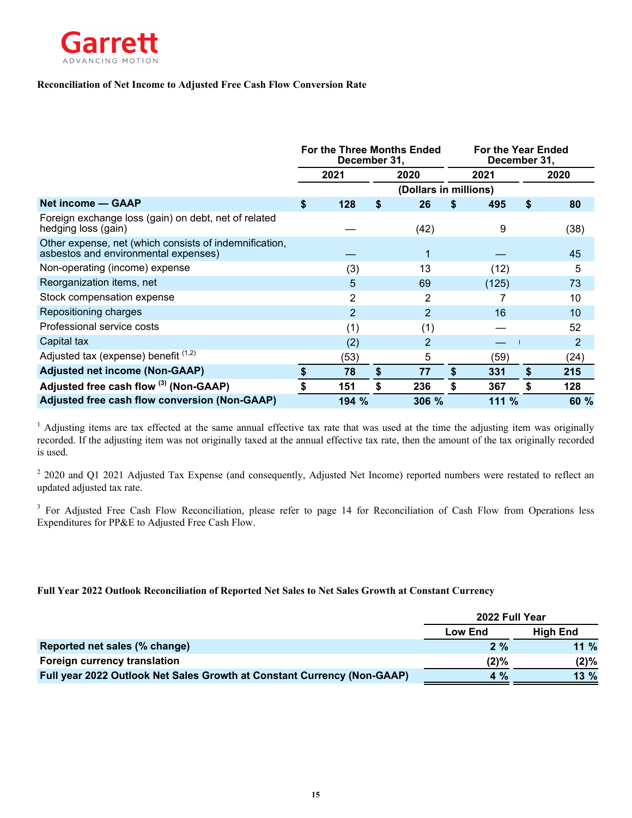

### **Reconciliation of Net Income to Adjusted Free Cash Flow Conversion Rate**

|                                                                                                | For the Three Months Ended<br>December 31, |                |    | <b>For the Year Ended</b><br>December 31, |    |       |    |                |
|------------------------------------------------------------------------------------------------|--------------------------------------------|----------------|----|-------------------------------------------|----|-------|----|----------------|
|                                                                                                |                                            | 2021           |    | 2020                                      |    | 2021  |    | 2020           |
|                                                                                                |                                            |                |    | (Dollars in millions)                     |    |       |    |                |
| Net income - GAAP                                                                              | \$                                         | 128            | S  | 26                                        | S  | 495   | \$ | 80             |
| Foreign exchange loss (gain) on debt, net of related<br>hedging loss (gain)                    |                                            |                |    | (42)                                      |    | 9     |    | (38)           |
| Other expense, net (which consists of indemnification,<br>asbestos and environmental expenses) |                                            |                |    | 1                                         |    |       |    | 45             |
| Non-operating (income) expense                                                                 |                                            | (3)            |    | 13                                        |    | (12)  |    | 5              |
| Reorganization items, net                                                                      |                                            | 5              |    | 69                                        |    | (125) |    | 73             |
| Stock compensation expense                                                                     |                                            | $\overline{2}$ |    | 2                                         |    |       |    | 10             |
| Repositioning charges                                                                          |                                            | $\overline{2}$ |    | $\overline{2}$                            |    | 16    |    | 10             |
| Professional service costs                                                                     |                                            | (1)            |    | (1)                                       |    |       |    | 52             |
| Capital tax                                                                                    |                                            | (2)            |    | $\overline{2}$                            |    |       |    | $\overline{2}$ |
| Adjusted tax (expense) benefit $(1,2)$                                                         |                                            | (53)           |    | 5                                         |    | (59)  |    | (24)           |
| <b>Adjusted net income (Non-GAAP)</b>                                                          |                                            | 78             | \$ | 77                                        | \$ | 331   | \$ | 215            |
| Adjusted free cash flow (3) (Non-GAAP)                                                         |                                            | 151            | \$ | 236                                       | \$ | 367   | \$ | 128            |
| <b>Adjusted free cash flow conversion (Non-GAAP)</b>                                           |                                            | 194 %          |    | 306 %                                     |    | 111 % |    | 60 %           |

<sup>1</sup> Adjusting items are tax effected at the same annual effective tax rate that was used at the time the adjusting item was originally recorded. If the adjusting item was not originally taxed at the annual effective tax rate, then the amount of the tax originally recorded is used.

 $2$  2020 and Q1 2021 Adjusted Tax Expense (and consequently, Adjusted Net Income) reported numbers were restated to reflect an updated adjusted tax rate.

<sup>3</sup> For Adjusted Free Cash Flow Reconciliation, please refer to page 14 for Reconciliation of Cash Flow from Operations less Expenditures for PP&E to Adjusted Free Cash Flow.

### **Full Year 2022 Outlook Reconciliation of Reported Net Sales to Net Sales Growth at Constant Currency**

|                                                                         | 2022 Full Year |                 |
|-------------------------------------------------------------------------|----------------|-----------------|
|                                                                         | Low End        | <b>High End</b> |
| Reported net sales (% change)                                           | 2%             | $11\%$          |
| <b>Foreign currency translation</b>                                     | $(2)\%$        | $(2)\%$         |
| Full year 2022 Outlook Net Sales Growth at Constant Currency (Non-GAAP) | $4\%$          | 13%             |